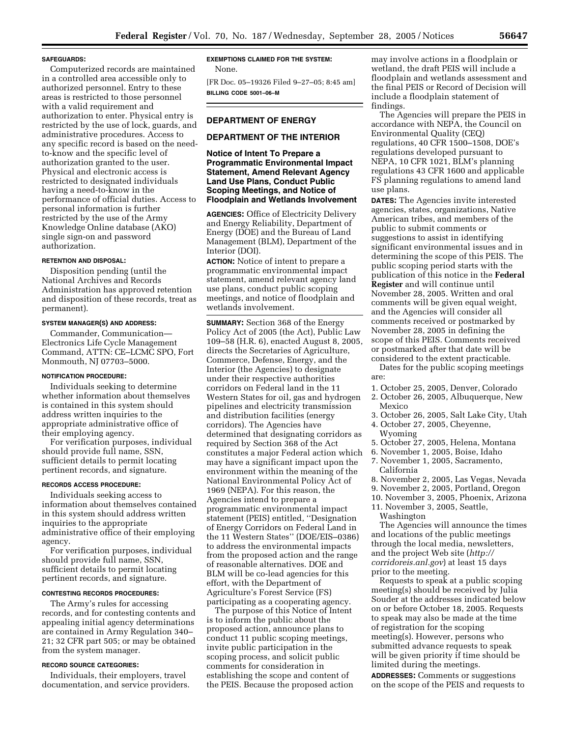#### **SAFEGUARDS:**

Computerized records are maintained in a controlled area accessible only to authorized personnel. Entry to these areas is restricted to those personnel with a valid requirement and authorization to enter. Physical entry is restricted by the use of lock, guards, and administrative procedures. Access to any specific record is based on the needto-know and the specific level of authorization granted to the user. Physical and electronic access is restricted to designated individuals having a need-to-know in the performance of official duties. Access to personal information is further restricted by the use of the Army Knowledge Online database (AKO) single sign-on and password authorization.

## **RETENTION AND DISPOSAL:**

Disposition pending (until the National Archives and Records Administration has approved retention and disposition of these records, treat as permanent).

## **SYSTEM MANAGER(S) AND ADDRESS:**

Commander, Communication— Electronics Life Cycle Management Command, ATTN: CE–LCMC SPO, Fort Monmouth, NJ 07703–5000.

#### **NOTIFICATION PROCEDURE:**

Individuals seeking to determine whether information about themselves is contained in this system should address written inquiries to the appropriate administrative office of their employing agency.

For verification purposes, individual should provide full name, SSN, sufficient details to permit locating pertinent records, and signature.

## **RECORDS ACCESS PROCEDURE:**

Individuals seeking access to information about themselves contained in this system should address written inquiries to the appropriate administrative office of their employing agency.

For verification purposes, individual should provide full name, SSN, sufficient details to permit locating pertinent records, and signature.

## **CONTESTING RECORDS PROCEDURES:**

The Army's rules for accessing records, and for contesting contents and appealing initial agency determinations are contained in Army Regulation 340– 21; 32 CFR part 505; or may be obtained from the system manager.

## **RECORD SOURCE CATEGORIES:**

Individuals, their employers, travel documentation, and service providers.

# **EXEMPTIONS CLAIMED FOR THE SYSTEM:**

None.

[FR Doc. 05–19326 Filed 9–27–05; 8:45 am] **BILLING CODE 5001–06–M** 

## **DEPARTMENT OF ENERGY**

# **DEPARTMENT OF THE INTERIOR**

# **Notice of Intent To Prepare a Programmatic Environmental Impact Statement, Amend Relevant Agency Land Use Plans, Conduct Public Scoping Meetings, and Notice of Floodplain and Wetlands Involvement**

**AGENCIES:** Office of Electricity Delivery and Energy Reliability, Department of Energy (DOE) and the Bureau of Land Management (BLM), Department of the Interior (DOI).

**ACTION:** Notice of intent to prepare a programmatic environmental impact statement, amend relevant agency land use plans, conduct public scoping meetings, and notice of floodplain and wetlands involvement.

**SUMMARY:** Section 368 of the Energy Policy Act of 2005 (the Act), Public Law 109–58 (H.R. 6), enacted August 8, 2005, directs the Secretaries of Agriculture, Commerce, Defense, Energy, and the Interior (the Agencies) to designate under their respective authorities corridors on Federal land in the 11 Western States for oil, gas and hydrogen pipelines and electricity transmission and distribution facilities (energy corridors). The Agencies have determined that designating corridors as required by Section 368 of the Act constitutes a major Federal action which may have a significant impact upon the environment within the meaning of the National Environmental Policy Act of 1969 (NEPA). For this reason, the Agencies intend to prepare a programmatic environmental impact statement (PEIS) entitled, ''Designation of Energy Corridors on Federal Land in the 11 Western States'' (DOE/EIS–0386) to address the environmental impacts from the proposed action and the range of reasonable alternatives. DOE and BLM will be co-lead agencies for this effort, with the Department of Agriculture's Forest Service (FS) participating as a cooperating agency.

The purpose of this Notice of Intent is to inform the public about the proposed action, announce plans to conduct 11 public scoping meetings, invite public participation in the scoping process, and solicit public comments for consideration in establishing the scope and content of the PEIS. Because the proposed action may involve actions in a floodplain or wetland, the draft PEIS will include a floodplain and wetlands assessment and the final PEIS or Record of Decision will include a floodplain statement of findings.

The Agencies will prepare the PEIS in accordance with NEPA, the Council on Environmental Quality (CEQ) regulations, 40 CFR 1500–1508, DOE's regulations developed pursuant to NEPA, 10 CFR 1021, BLM's planning regulations 43 CFR 1600 and applicable FS planning regulations to amend land use plans.

**DATES:** The Agencies invite interested agencies, states, organizations, Native American tribes, and members of the public to submit comments or suggestions to assist in identifying significant environmental issues and in determining the scope of this PEIS. The public scoping period starts with the publication of this notice in the **Federal Register** and will continue until November 28, 2005. Written and oral comments will be given equal weight, and the Agencies will consider all comments received or postmarked by November 28, 2005 in defining the scope of this PEIS. Comments received or postmarked after that date will be considered to the extent practicable. Dates for the public scoping meetings

are:

- 1. October 25, 2005, Denver, Colorado
- 2. October 26, 2005, Albuquerque, New
- Mexico
- 3. October 26, 2005, Salt Lake City, Utah
- 4. October 27, 2005, Cheyenne, Wyoming
- 5. October 27, 2005, Helena, Montana
- 6. November 1, 2005, Boise, Idaho
- 7. November 1, 2005, Sacramento, California
- 8. November 2, 2005, Las Vegas, Nevada
- 9. November 2, 2005, Portland, Oregon
- 10. November 3, 2005, Phoenix, Arizona 11. November 3, 2005, Seattle,
	- Washington

The Agencies will announce the times and locations of the public meetings through the local media, newsletters, and the project Web site (*http:// corridoreis.anl.gov*) at least 15 days prior to the meeting.

Requests to speak at a public scoping meeting(s) should be received by Julia Souder at the addresses indicated below on or before October 18, 2005. Requests to speak may also be made at the time of registration for the scoping meeting(s). However, persons who submitted advance requests to speak will be given priority if time should be limited during the meetings.

**ADDRESSES:** Comments or suggestions on the scope of the PEIS and requests to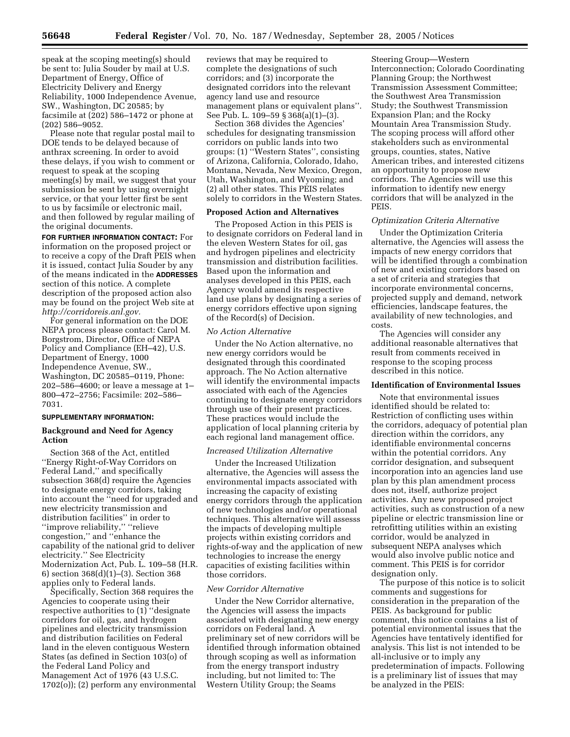speak at the scoping meeting(s) should be sent to: Julia Souder by mail at U.S. Department of Energy, Office of Electricity Delivery and Energy Reliability, 1000 Independence Avenue, SW., Washington, DC 20585; by facsimile at (202) 586–1472 or phone at (202) 586–9052.

Please note that regular postal mail to DOE tends to be delayed because of anthrax screening. In order to avoid these delays, if you wish to comment or request to speak at the scoping meeting(s) by mail, we suggest that your submission be sent by using overnight service, or that your letter first be sent to us by facsimile or electronic mail, and then followed by regular mailing of the original documents.

**FOR FURTHER INFORMATION CONTACT:** For information on the proposed project or to receive a copy of the Draft PEIS when it is issued, contact Julia Souder by any of the means indicated in the **ADDRESSES** section of this notice. A complete description of the proposed action also may be found on the project Web site at *http://corridoreis.anl.gov.* 

For general information on the DOE NEPA process please contact: Carol M. Borgstrom, Director, Office of NEPA Policy and Compliance (EH–42), U.S. Department of Energy, 1000 Independence Avenue, SW., Washington, DC 20585–0119, Phone: 202–586–4600; or leave a message at 1– 800–472–2756; Facsimile: 202–586– 7031.

#### **SUPPLEMENTARY INFORMATION:**

# **Background and Need for Agency Action**

Section 368 of the Act, entitled ''Energy Right-of-Way Corridors on Federal Land,'' and specifically subsection 368(d) require the Agencies to designate energy corridors, taking into account the ''need for upgraded and new electricity transmission and distribution facilities'' in order to ''improve reliability,'' ''relieve congestion,'' and ''enhance the capability of the national grid to deliver electricity.'' See Electricity Modernization Act, Pub. L. 109–58 (H.R. 6) section 368(d)(1)–(3). Section 368 applies only to Federal lands.

Specifically, Section 368 requires the Agencies to cooperate using their respective authorities to (1) ''designate corridors for oil, gas, and hydrogen pipelines and electricity transmission and distribution facilities on Federal land in the eleven contiguous Western States (as defined in Section 103(o) of the Federal Land Policy and Management Act of 1976 (43 U.S.C. 1702(o)); (2) perform any environmental reviews that may be required to complete the designations of such corridors; and (3) incorporate the designated corridors into the relevant agency land use and resource management plans or equivalent plans''. See Pub. L. 109–59 § 368(a)(1)–(3).

Section 368 divides the Agencies' schedules for designating transmission corridors on public lands into two groups: (1) ''Western States'', consisting of Arizona, California, Colorado, Idaho, Montana, Nevada, New Mexico, Oregon, Utah, Washington, and Wyoming; and (2) all other states. This PEIS relates solely to corridors in the Western States.

#### **Proposed Action and Alternatives**

The Proposed Action in this PEIS is to designate corridors on Federal land in the eleven Western States for oil, gas and hydrogen pipelines and electricity transmission and distribution facilities. Based upon the information and analyses developed in this PEIS, each Agency would amend its respective land use plans by designating a series of energy corridors effective upon signing of the Record(s) of Decision.

## *No Action Alternative*

Under the No Action alternative, no new energy corridors would be designated through this coordinated approach. The No Action alternative will identify the environmental impacts associated with each of the Agencies continuing to designate energy corridors through use of their present practices. These practices would include the application of local planning criteria by each regional land management office.

#### *Increased Utilization Alternative*

Under the Increased Utilization alternative, the Agencies will assess the environmental impacts associated with increasing the capacity of existing energy corridors through the application of new technologies and/or operational techniques. This alternative will assesss the impacts of developing multiple projects within existing corridors and rights-of-way and the application of new technologies to increase the energy capacities of existing facilities within those corridors.

## *New Corridor Alternative*

Under the New Corridor alternative, the Agencies will assess the impacts associated with designating new energy corridors on Federal land. A preliminary set of new corridors will be identified through information obtained through scoping as well as information from the energy transport industry including, but not limited to: The Western Utility Group; the Seams

Steering Group—Western Interconnection; Colorado Coordinating Planning Group; the Northwest Transmission Assessment Committee; the Southwest Area Transmission Study; the Southwest Transmission Expansion Plan; and the Rocky Mountain Area Transmission Study. The scoping process will afford other stakeholders such as environmental groups, counties, states, Native American tribes, and interested citizens an opportunity to propose new corridors. The Agencies will use this information to identify new energy corridors that will be analyzed in the PEIS.

## *Optimization Criteria Alternative*

Under the Optimization Criteria alternative, the Agencies will assess the impacts of new energy corridors that will be identified through a combination of new and existing corridors based on a set of criteria and strategies that incorporate environmental concerns, projected supply and demand, network efficiencies, landscape features, the availability of new technologies, and costs.

The Agencies will consider any additional reasonable alternatives that result from comments received in response to the scoping process described in this notice.

#### **Identification of Environmental Issues**

Note that environmental issues identified should be related to: Restriction of conflicting uses within the corridors, adequacy of potential plan direction within the corridors, any identifiable environmental concerns within the potential corridors. Any corridor designation, and subsequent incorporation into an agencies land use plan by this plan amendment process does not, itself, authorize project activities. Any new proposed project activities, such as construction of a new pipeline or electric transmission line or retrofitting utilities within an existing corridor, would be analyzed in subsequent NEPA analyses which would also involve public notice and comment. This PEIS is for corridor designation only.

The purpose of this notice is to solicit comments and suggestions for consideration in the preparation of the PEIS. As background for public comment, this notice contains a list of potential environmental issues that the Agencies have tentatively identified for analysis. This list is not intended to be all-inclusive or to imply any predetermination of impacts. Following is a preliminary list of issues that may be analyzed in the PEIS: